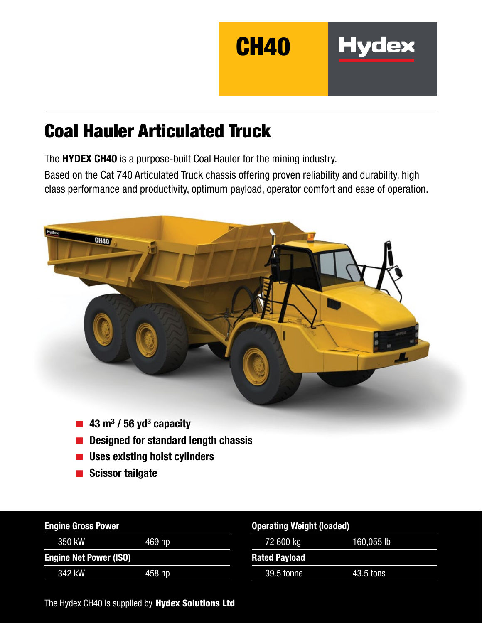

**Hydex** 

# Coal Hauler Articulated Truck

The HYDEX CH40 is a purpose-built Coal Hauler for the mining industry.

Based on the Cat 740 Articulated Truck chassis offering proven reliability and durability, high class performance and productivity, optimum payload, operator comfort and ease of operation.



- $\blacksquare$  43 m<sup>3</sup> / 56 yd<sup>3</sup> capacity
- Designed for standard length chassis
- Uses existing hoist cylinders
- Scissor tailgate

| <b>Engine Gross Power</b>     |        | <b>Operating Weight (loaded)</b> |            |  |
|-------------------------------|--------|----------------------------------|------------|--|
| 350 kW                        | 469 hp | 72 600 kg                        | 160,055 lb |  |
| <b>Engine Net Power (ISO)</b> |        | <b>Rated Payload</b>             |            |  |
| 342 kW                        | 458 hp | 39.5 tonne                       | 43.5 tons  |  |

The Hydex CH40 is supplied by Hydex Solutions Ltd